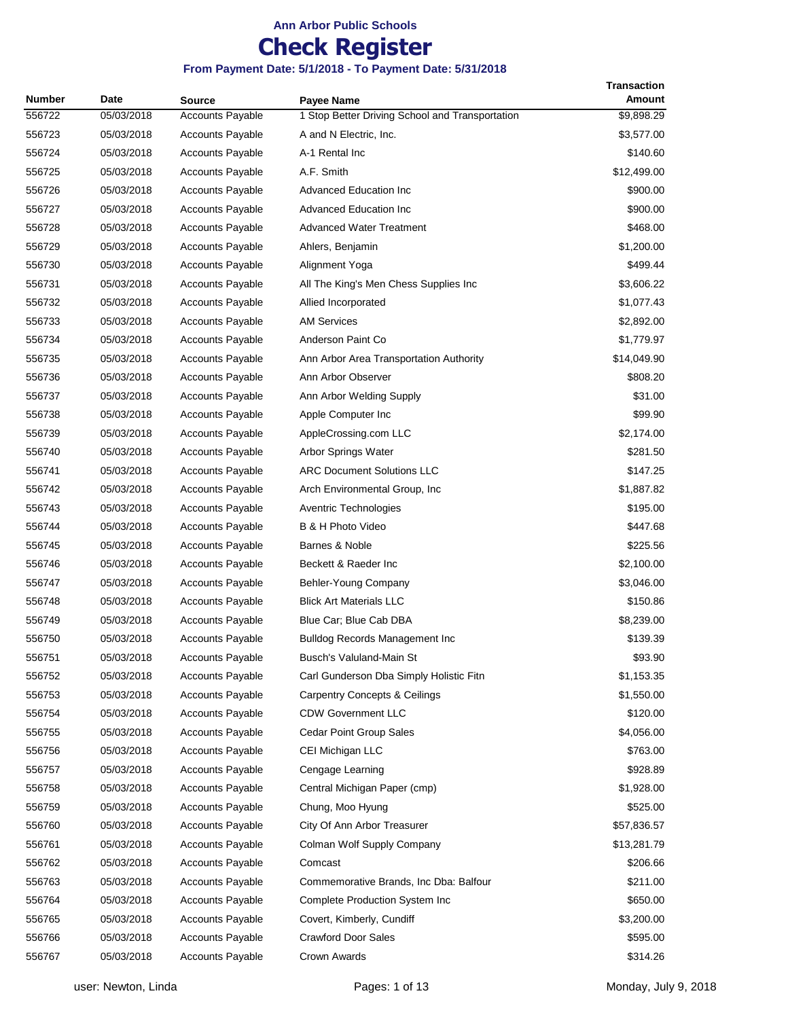## **Check Register**

| <b>Number</b> | Date       | <b>Source</b>           | <b>Payee Name</b>                               | <b>Transaction</b><br><b>Amount</b> |
|---------------|------------|-------------------------|-------------------------------------------------|-------------------------------------|
| 556722        | 05/03/2018 | <b>Accounts Payable</b> | 1 Stop Better Driving School and Transportation | \$9,898.29                          |
| 556723        | 05/03/2018 | <b>Accounts Payable</b> | A and N Electric, Inc.                          | \$3,577.00                          |
| 556724        | 05/03/2018 | <b>Accounts Payable</b> | A-1 Rental Inc                                  | \$140.60                            |
| 556725        | 05/03/2018 | <b>Accounts Payable</b> | A.F. Smith                                      | \$12,499.00                         |
| 556726        | 05/03/2018 | <b>Accounts Payable</b> | <b>Advanced Education Inc.</b>                  | \$900.00                            |
| 556727        | 05/03/2018 | <b>Accounts Payable</b> | <b>Advanced Education Inc</b>                   | \$900.00                            |
| 556728        | 05/03/2018 | <b>Accounts Payable</b> | <b>Advanced Water Treatment</b>                 | \$468.00                            |
| 556729        | 05/03/2018 | <b>Accounts Payable</b> | Ahlers, Benjamin                                | \$1,200.00                          |
| 556730        | 05/03/2018 | <b>Accounts Payable</b> | Alignment Yoga                                  | \$499.44                            |
| 556731        | 05/03/2018 | <b>Accounts Payable</b> | All The King's Men Chess Supplies Inc           | \$3,606.22                          |
| 556732        | 05/03/2018 | <b>Accounts Payable</b> | Allied Incorporated                             | \$1,077.43                          |
| 556733        | 05/03/2018 | <b>Accounts Payable</b> | <b>AM Services</b>                              | \$2,892.00                          |
| 556734        | 05/03/2018 | <b>Accounts Payable</b> | Anderson Paint Co                               | \$1,779.97                          |
| 556735        | 05/03/2018 | <b>Accounts Payable</b> | Ann Arbor Area Transportation Authority         | \$14,049.90                         |
| 556736        | 05/03/2018 | <b>Accounts Payable</b> | Ann Arbor Observer                              | \$808.20                            |
| 556737        | 05/03/2018 | <b>Accounts Payable</b> | Ann Arbor Welding Supply                        | \$31.00                             |
| 556738        | 05/03/2018 | <b>Accounts Payable</b> | Apple Computer Inc                              | \$99.90                             |
| 556739        | 05/03/2018 | <b>Accounts Payable</b> | AppleCrossing.com LLC                           | \$2,174.00                          |
| 556740        | 05/03/2018 | <b>Accounts Payable</b> | Arbor Springs Water                             | \$281.50                            |
| 556741        | 05/03/2018 | <b>Accounts Payable</b> | <b>ARC Document Solutions LLC</b>               | \$147.25                            |
| 556742        | 05/03/2018 | <b>Accounts Payable</b> | Arch Environmental Group, Inc.                  | \$1,887.82                          |
| 556743        | 05/03/2018 | <b>Accounts Payable</b> | Aventric Technologies                           | \$195.00                            |
| 556744        | 05/03/2018 | <b>Accounts Payable</b> | B & H Photo Video                               | \$447.68                            |
| 556745        | 05/03/2018 | <b>Accounts Payable</b> | Barnes & Noble                                  | \$225.56                            |
| 556746        | 05/03/2018 | <b>Accounts Payable</b> | Beckett & Raeder Inc                            | \$2,100.00                          |
| 556747        | 05/03/2018 | <b>Accounts Payable</b> | Behler-Young Company                            | \$3,046.00                          |
| 556748        | 05/03/2018 | <b>Accounts Payable</b> | <b>Blick Art Materials LLC</b>                  | \$150.86                            |
| 556749        | 05/03/2018 | <b>Accounts Payable</b> | Blue Car; Blue Cab DBA                          | \$8,239.00                          |
| 556750        | 05/03/2018 | <b>Accounts Payable</b> | <b>Bulldog Records Management Inc</b>           | \$139.39                            |
| 556751        | 05/03/2018 | <b>Accounts Payable</b> | Busch's Valuland-Main St                        | \$93.90                             |
| 556752        | 05/03/2018 | <b>Accounts Payable</b> | Carl Gunderson Dba Simply Holistic Fitn         | \$1,153.35                          |
| 556753        | 05/03/2018 | <b>Accounts Payable</b> | <b>Carpentry Concepts &amp; Ceilings</b>        | \$1,550.00                          |
| 556754        | 05/03/2018 | <b>Accounts Payable</b> | <b>CDW Government LLC</b>                       | \$120.00                            |
| 556755        | 05/03/2018 | <b>Accounts Payable</b> | Cedar Point Group Sales                         | \$4,056.00                          |
| 556756        | 05/03/2018 | <b>Accounts Payable</b> | CEI Michigan LLC                                | \$763.00                            |
| 556757        | 05/03/2018 | <b>Accounts Payable</b> | Cengage Learning                                | \$928.89                            |
| 556758        | 05/03/2018 | <b>Accounts Payable</b> | Central Michigan Paper (cmp)                    | \$1,928.00                          |
| 556759        | 05/03/2018 | <b>Accounts Payable</b> | Chung, Moo Hyung                                | \$525.00                            |
| 556760        | 05/03/2018 | <b>Accounts Payable</b> | City Of Ann Arbor Treasurer                     | \$57,836.57                         |
| 556761        | 05/03/2018 | Accounts Payable        | Colman Wolf Supply Company                      | \$13,281.79                         |
| 556762        | 05/03/2018 | <b>Accounts Payable</b> | Comcast                                         | \$206.66                            |
| 556763        | 05/03/2018 | <b>Accounts Payable</b> | Commemorative Brands, Inc Dba: Balfour          | \$211.00                            |
| 556764        | 05/03/2018 | <b>Accounts Payable</b> | <b>Complete Production System Inc</b>           | \$650.00                            |
| 556765        | 05/03/2018 | <b>Accounts Payable</b> | Covert, Kimberly, Cundiff                       | \$3,200.00                          |
| 556766        | 05/03/2018 | <b>Accounts Payable</b> | <b>Crawford Door Sales</b>                      | \$595.00                            |
| 556767        | 05/03/2018 | Accounts Payable        | Crown Awards                                    | \$314.26                            |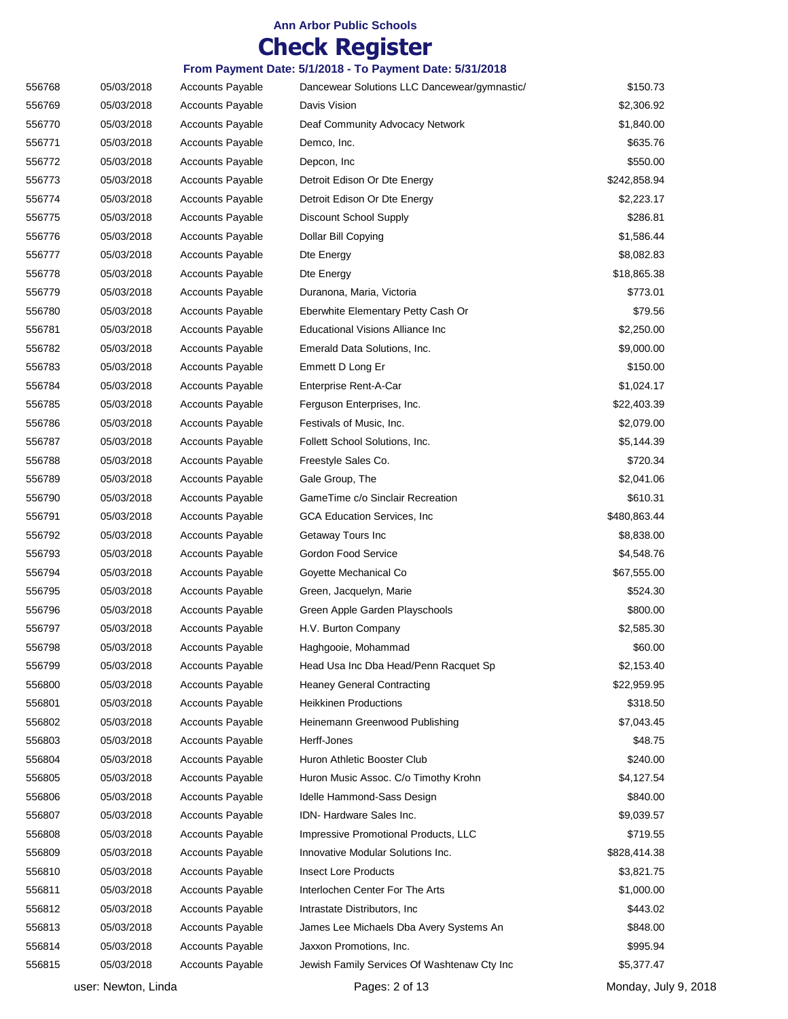## **Check Register**

| 556768 | 05/03/2018 | <b>Accounts Payable</b> | Dancewear Solutions LLC Dancewear/gymnastic/ | \$150.73     |
|--------|------------|-------------------------|----------------------------------------------|--------------|
| 556769 | 05/03/2018 | <b>Accounts Payable</b> | Davis Vision                                 | \$2,306.92   |
| 556770 | 05/03/2018 | <b>Accounts Payable</b> | Deaf Community Advocacy Network              | \$1,840.00   |
| 556771 | 05/03/2018 | <b>Accounts Payable</b> | Demco, Inc.                                  | \$635.76     |
| 556772 | 05/03/2018 | <b>Accounts Payable</b> | Depcon, Inc                                  | \$550.00     |
| 556773 | 05/03/2018 | <b>Accounts Payable</b> | Detroit Edison Or Dte Energy                 | \$242,858.94 |
| 556774 | 05/03/2018 | <b>Accounts Payable</b> | Detroit Edison Or Dte Energy                 | \$2,223.17   |
| 556775 | 05/03/2018 | <b>Accounts Payable</b> | Discount School Supply                       | \$286.81     |
| 556776 | 05/03/2018 | <b>Accounts Payable</b> | Dollar Bill Copying                          | \$1,586.44   |
| 556777 | 05/03/2018 | <b>Accounts Payable</b> | Dte Energy                                   | \$8,082.83   |
| 556778 | 05/03/2018 | <b>Accounts Payable</b> | Dte Energy                                   | \$18,865.38  |
| 556779 | 05/03/2018 | <b>Accounts Payable</b> | Duranona, Maria, Victoria                    | \$773.01     |
| 556780 | 05/03/2018 | <b>Accounts Payable</b> | Eberwhite Elementary Petty Cash Or           | \$79.56      |
| 556781 | 05/03/2018 | <b>Accounts Payable</b> | Educational Visions Alliance Inc             | \$2,250.00   |
| 556782 | 05/03/2018 | <b>Accounts Payable</b> | Emerald Data Solutions, Inc.                 | \$9,000.00   |
| 556783 | 05/03/2018 | <b>Accounts Payable</b> | Emmett D Long Er                             | \$150.00     |
| 556784 | 05/03/2018 | <b>Accounts Payable</b> | Enterprise Rent-A-Car                        | \$1,024.17   |
| 556785 | 05/03/2018 | <b>Accounts Payable</b> | Ferguson Enterprises, Inc.                   | \$22,403.39  |
| 556786 | 05/03/2018 | <b>Accounts Payable</b> | Festivals of Music, Inc.                     | \$2,079.00   |
| 556787 | 05/03/2018 | <b>Accounts Payable</b> | Follett School Solutions, Inc.               | \$5,144.39   |
| 556788 | 05/03/2018 | <b>Accounts Payable</b> | Freestyle Sales Co.                          | \$720.34     |
| 556789 | 05/03/2018 | <b>Accounts Payable</b> | Gale Group, The                              | \$2,041.06   |
| 556790 | 05/03/2018 | <b>Accounts Payable</b> | GameTime c/o Sinclair Recreation             | \$610.31     |
| 556791 | 05/03/2018 | <b>Accounts Payable</b> | <b>GCA Education Services, Inc.</b>          | \$480,863.44 |
| 556792 | 05/03/2018 | <b>Accounts Payable</b> | Getaway Tours Inc                            | \$8,838.00   |
| 556793 | 05/03/2018 | <b>Accounts Payable</b> | Gordon Food Service                          | \$4,548.76   |
| 556794 | 05/03/2018 | <b>Accounts Payable</b> | Goyette Mechanical Co                        | \$67,555.00  |
| 556795 | 05/03/2018 | <b>Accounts Payable</b> | Green, Jacquelyn, Marie                      | \$524.30     |
| 556796 | 05/03/2018 | <b>Accounts Payable</b> | Green Apple Garden Playschools               | \$800.00     |
| 556797 | 05/03/2018 | <b>Accounts Payable</b> | H.V. Burton Company                          | \$2,585.30   |
| 556798 | 05/03/2018 | <b>Accounts Payable</b> | Haghgooie, Mohammad                          | \$60.00      |
| 556799 | 05/03/2018 | <b>Accounts Payable</b> | Head Usa Inc Dba Head/Penn Racquet Sp        | \$2,153.40   |
| 556800 | 05/03/2018 | <b>Accounts Payable</b> | <b>Heaney General Contracting</b>            | \$22,959.95  |
| 556801 | 05/03/2018 | <b>Accounts Payable</b> | <b>Heikkinen Productions</b>                 | \$318.50     |
| 556802 | 05/03/2018 | <b>Accounts Payable</b> | Heinemann Greenwood Publishing               | \$7,043.45   |
| 556803 | 05/03/2018 | Accounts Payable        | Herff-Jones                                  | \$48.75      |
| 556804 | 05/03/2018 | <b>Accounts Payable</b> | Huron Athletic Booster Club                  | \$240.00     |
| 556805 | 05/03/2018 | <b>Accounts Payable</b> | Huron Music Assoc. C/o Timothy Krohn         | \$4,127.54   |
| 556806 | 05/03/2018 | Accounts Payable        | Idelle Hammond-Sass Design                   | \$840.00     |
| 556807 | 05/03/2018 | <b>Accounts Payable</b> | IDN-Hardware Sales Inc.                      | \$9,039.57   |
| 556808 | 05/03/2018 | <b>Accounts Payable</b> | Impressive Promotional Products, LLC         | \$719.55     |
| 556809 | 05/03/2018 | <b>Accounts Payable</b> | Innovative Modular Solutions Inc.            | \$828,414.38 |
| 556810 | 05/03/2018 | <b>Accounts Payable</b> | <b>Insect Lore Products</b>                  | \$3,821.75   |
| 556811 | 05/03/2018 | <b>Accounts Payable</b> | Interlochen Center For The Arts              | \$1,000.00   |
| 556812 | 05/03/2018 | <b>Accounts Payable</b> | Intrastate Distributors, Inc.                | \$443.02     |
| 556813 | 05/03/2018 | <b>Accounts Payable</b> | James Lee Michaels Dba Avery Systems An      | \$848.00     |
| 556814 | 05/03/2018 | <b>Accounts Payable</b> | Jaxxon Promotions, Inc.                      | \$995.94     |
| 556815 | 05/03/2018 | <b>Accounts Payable</b> | Jewish Family Services Of Washtenaw Cty Inc  | \$5,377.47   |
|        |            |                         |                                              |              |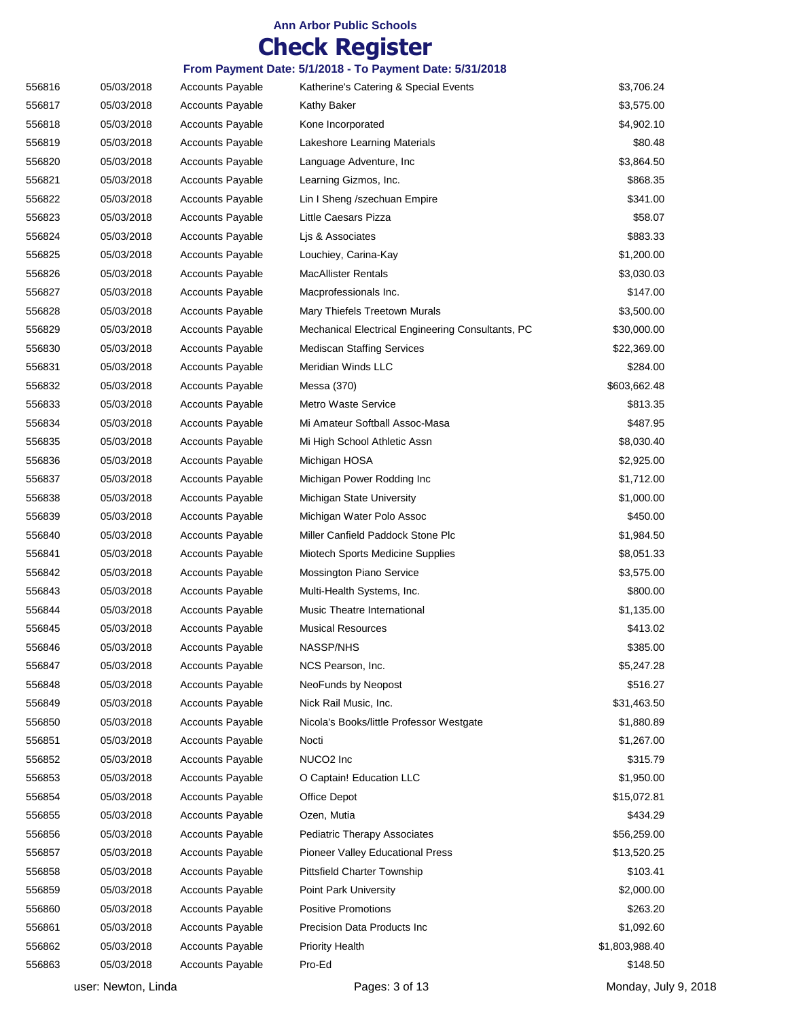## **Check Register**

| 556816 | 05/03/2018          | <b>Accounts Payable</b> | Katherine's Catering & Special Events             | \$3,706.24           |
|--------|---------------------|-------------------------|---------------------------------------------------|----------------------|
| 556817 | 05/03/2018          | <b>Accounts Payable</b> | Kathy Baker                                       | \$3,575.00           |
| 556818 | 05/03/2018          | <b>Accounts Payable</b> | Kone Incorporated                                 | \$4,902.10           |
| 556819 | 05/03/2018          | <b>Accounts Payable</b> | Lakeshore Learning Materials                      | \$80.48              |
| 556820 | 05/03/2018          | <b>Accounts Payable</b> | Language Adventure, Inc.                          | \$3,864.50           |
| 556821 | 05/03/2018          | <b>Accounts Payable</b> | Learning Gizmos, Inc.                             | \$868.35             |
| 556822 | 05/03/2018          | <b>Accounts Payable</b> | Lin I Sheng /szechuan Empire                      | \$341.00             |
| 556823 | 05/03/2018          | <b>Accounts Payable</b> | Little Caesars Pizza                              | \$58.07              |
| 556824 | 05/03/2018          | <b>Accounts Payable</b> | Lis & Associates                                  | \$883.33             |
| 556825 | 05/03/2018          | <b>Accounts Payable</b> | Louchiey, Carina-Kay                              | \$1,200.00           |
| 556826 | 05/03/2018          | <b>Accounts Payable</b> | <b>MacAllister Rentals</b>                        | \$3,030.03           |
| 556827 | 05/03/2018          | <b>Accounts Payable</b> | Macprofessionals Inc.                             | \$147.00             |
| 556828 | 05/03/2018          | <b>Accounts Payable</b> | Mary Thiefels Treetown Murals                     | \$3,500.00           |
| 556829 | 05/03/2018          | <b>Accounts Payable</b> | Mechanical Electrical Engineering Consultants, PC | \$30,000.00          |
| 556830 | 05/03/2018          | <b>Accounts Payable</b> | <b>Mediscan Staffing Services</b>                 | \$22,369.00          |
| 556831 | 05/03/2018          | <b>Accounts Payable</b> | Meridian Winds LLC                                | \$284.00             |
| 556832 | 05/03/2018          | <b>Accounts Payable</b> | Messa (370)                                       | \$603,662.48         |
| 556833 | 05/03/2018          | <b>Accounts Payable</b> | <b>Metro Waste Service</b>                        | \$813.35             |
| 556834 | 05/03/2018          | <b>Accounts Payable</b> | Mi Amateur Softball Assoc-Masa                    | \$487.95             |
| 556835 | 05/03/2018          | <b>Accounts Payable</b> | Mi High School Athletic Assn                      | \$8,030.40           |
| 556836 | 05/03/2018          | <b>Accounts Payable</b> | Michigan HOSA                                     | \$2,925.00           |
| 556837 | 05/03/2018          | <b>Accounts Payable</b> | Michigan Power Rodding Inc                        | \$1,712.00           |
| 556838 | 05/03/2018          | <b>Accounts Payable</b> | Michigan State University                         | \$1,000.00           |
| 556839 | 05/03/2018          | <b>Accounts Payable</b> | Michigan Water Polo Assoc                         | \$450.00             |
| 556840 | 05/03/2018          | <b>Accounts Payable</b> | Miller Canfield Paddock Stone Plc                 | \$1,984.50           |
| 556841 | 05/03/2018          | <b>Accounts Payable</b> | Miotech Sports Medicine Supplies                  | \$8,051.33           |
| 556842 | 05/03/2018          | <b>Accounts Payable</b> | Mossington Piano Service                          | \$3,575.00           |
| 556843 | 05/03/2018          | <b>Accounts Payable</b> | Multi-Health Systems, Inc.                        | \$800.00             |
| 556844 | 05/03/2018          | <b>Accounts Payable</b> | Music Theatre International                       | \$1,135.00           |
| 556845 | 05/03/2018          | <b>Accounts Payable</b> | <b>Musical Resources</b>                          | \$413.02             |
| 556846 | 05/03/2018          | <b>Accounts Payable</b> | NASSP/NHS                                         | \$385.00             |
| 556847 | 05/03/2018          | <b>Accounts Payable</b> | NCS Pearson, Inc.                                 | \$5,247.28           |
| 556848 | 05/03/2018          | <b>Accounts Payable</b> | NeoFunds by Neopost                               | \$516.27             |
| 556849 | 05/03/2018          | <b>Accounts Payable</b> | Nick Rail Music, Inc.                             | \$31,463.50          |
| 556850 | 05/03/2018          | <b>Accounts Payable</b> | Nicola's Books/little Professor Westgate          | \$1,880.89           |
| 556851 | 05/03/2018          | <b>Accounts Payable</b> | Nocti                                             | \$1,267.00           |
| 556852 | 05/03/2018          | <b>Accounts Payable</b> | NUCO <sub>2</sub> Inc                             | \$315.79             |
| 556853 | 05/03/2018          | <b>Accounts Payable</b> | O Captain! Education LLC                          | \$1,950.00           |
| 556854 | 05/03/2018          | <b>Accounts Payable</b> | Office Depot                                      | \$15,072.81          |
| 556855 | 05/03/2018          | <b>Accounts Payable</b> | Ozen, Mutia                                       | \$434.29             |
| 556856 | 05/03/2018          | <b>Accounts Payable</b> | <b>Pediatric Therapy Associates</b>               | \$56,259.00          |
| 556857 | 05/03/2018          | <b>Accounts Payable</b> | Pioneer Valley Educational Press                  | \$13,520.25          |
| 556858 | 05/03/2018          | <b>Accounts Payable</b> | Pittsfield Charter Township                       | \$103.41             |
| 556859 | 05/03/2018          | <b>Accounts Payable</b> | Point Park University                             | \$2,000.00           |
| 556860 | 05/03/2018          | <b>Accounts Payable</b> | <b>Positive Promotions</b>                        | \$263.20             |
| 556861 | 05/03/2018          | <b>Accounts Payable</b> | Precision Data Products Inc                       | \$1,092.60           |
| 556862 | 05/03/2018          | <b>Accounts Payable</b> | <b>Priority Health</b>                            | \$1,803,988.40       |
| 556863 | 05/03/2018          | <b>Accounts Payable</b> | Pro-Ed                                            | \$148.50             |
|        | user: Newton, Linda |                         | Pages: 3 of 13                                    | Monday, July 9, 2018 |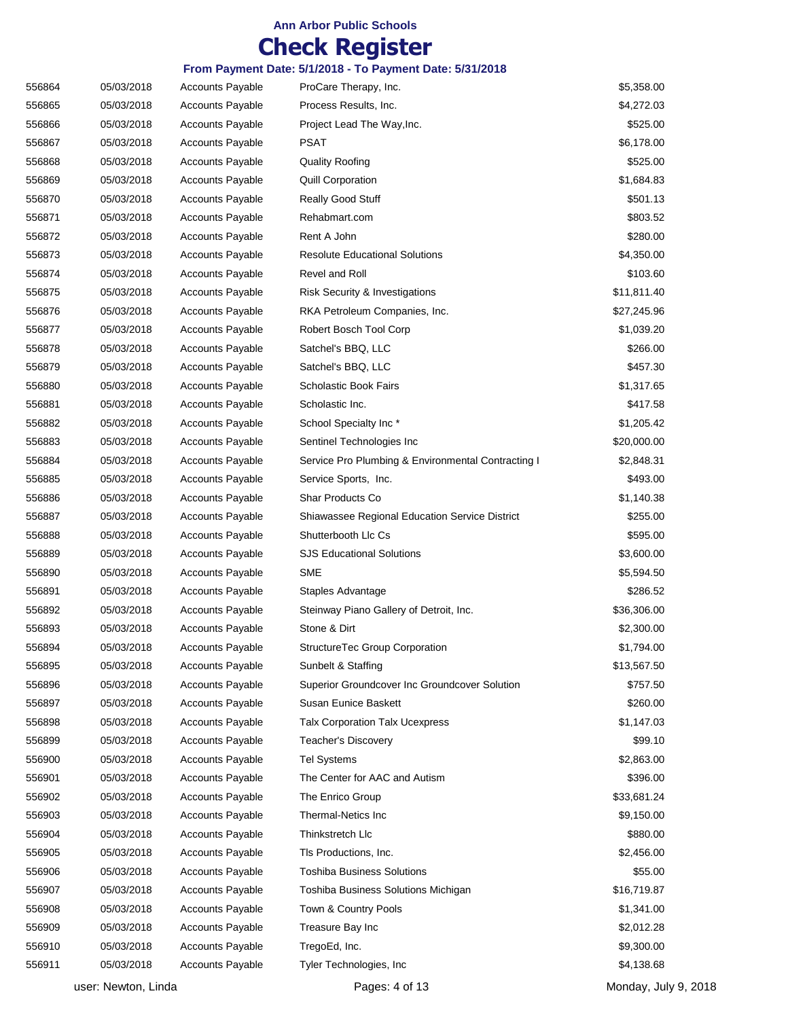## **Check Register**

| 556864 | 05/03/2018 | <b>Accounts Payable</b> | ProCare Therapy, Inc.                                 | \$5,358.00  |
|--------|------------|-------------------------|-------------------------------------------------------|-------------|
| 556865 | 05/03/2018 | <b>Accounts Payable</b> | Process Results, Inc.                                 | \$4,272.03  |
| 556866 | 05/03/2018 | <b>Accounts Payable</b> | Project Lead The Way, Inc.                            | \$525.00    |
| 556867 | 05/03/2018 | <b>Accounts Payable</b> | PSAT                                                  | \$6,178.00  |
| 556868 | 05/03/2018 | <b>Accounts Payable</b> | <b>Quality Roofing</b>                                | \$525.00    |
| 556869 | 05/03/2018 | <b>Accounts Payable</b> | <b>Quill Corporation</b>                              | \$1,684.83  |
| 556870 | 05/03/2018 | <b>Accounts Payable</b> | Really Good Stuff                                     | \$501.13    |
| 556871 | 05/03/2018 | <b>Accounts Payable</b> | Rehabmart.com                                         | \$803.52    |
| 556872 | 05/03/2018 | <b>Accounts Payable</b> | Rent A John                                           | \$280.00    |
| 556873 | 05/03/2018 | <b>Accounts Payable</b> | <b>Resolute Educational Solutions</b>                 | \$4,350.00  |
| 556874 | 05/03/2018 | <b>Accounts Payable</b> | Revel and Roll                                        | \$103.60    |
| 556875 | 05/03/2018 | <b>Accounts Payable</b> | <b>Risk Security &amp; Investigations</b>             | \$11,811.40 |
| 556876 | 05/03/2018 | <b>Accounts Payable</b> | RKA Petroleum Companies, Inc.                         | \$27,245.96 |
| 556877 | 05/03/2018 | <b>Accounts Payable</b> | Robert Bosch Tool Corp                                | \$1,039.20  |
| 556878 | 05/03/2018 | <b>Accounts Payable</b> | Satchel's BBQ, LLC                                    | \$266.00    |
| 556879 | 05/03/2018 | <b>Accounts Payable</b> | Satchel's BBQ, LLC                                    | \$457.30    |
| 556880 | 05/03/2018 | <b>Accounts Payable</b> | Scholastic Book Fairs                                 | \$1,317.65  |
| 556881 | 05/03/2018 | <b>Accounts Payable</b> | Scholastic Inc.                                       | \$417.58    |
| 556882 | 05/03/2018 | <b>Accounts Payable</b> | School Specialty Inc*                                 | \$1,205.42  |
| 556883 | 05/03/2018 | <b>Accounts Payable</b> | Sentinel Technologies Inc                             | \$20,000.00 |
| 556884 | 05/03/2018 | <b>Accounts Payable</b> | Service Pro Plumbing & Environmental Contracting I    | \$2,848.31  |
| 556885 | 05/03/2018 | <b>Accounts Payable</b> | Service Sports, Inc.                                  | \$493.00    |
| 556886 | 05/03/2018 | <b>Accounts Payable</b> | Shar Products Co                                      | \$1,140.38  |
| 556887 | 05/03/2018 | <b>Accounts Payable</b> | <b>Shiawassee Regional Education Service District</b> | \$255.00    |
| 556888 | 05/03/2018 | <b>Accounts Payable</b> | Shutterbooth Llc Cs                                   | \$595.00    |
| 556889 | 05/03/2018 | <b>Accounts Payable</b> | <b>SJS Educational Solutions</b>                      | \$3,600.00  |
| 556890 | 05/03/2018 | <b>Accounts Payable</b> | <b>SME</b>                                            | \$5,594.50  |
| 556891 | 05/03/2018 | <b>Accounts Payable</b> | Staples Advantage                                     | \$286.52    |
| 556892 | 05/03/2018 | <b>Accounts Payable</b> | Steinway Piano Gallery of Detroit, Inc.               | \$36,306.00 |
| 556893 | 05/03/2018 | <b>Accounts Payable</b> | Stone & Dirt                                          | \$2,300.00  |
| 556894 | 05/03/2018 | <b>Accounts Payable</b> | StructureTec Group Corporation                        | \$1,794.00  |
| 556895 | 05/03/2018 | <b>Accounts Payable</b> | Sunbelt & Staffing                                    | \$13,567.50 |
| 556896 | 05/03/2018 | <b>Accounts Payable</b> | Superior Groundcover Inc Groundcover Solution         | \$757.50    |
| 556897 | 05/03/2018 | <b>Accounts Payable</b> | Susan Eunice Baskett                                  | \$260.00    |
| 556898 | 05/03/2018 | <b>Accounts Payable</b> | <b>Talx Corporation Talx Ucexpress</b>                | \$1,147.03  |
| 556899 | 05/03/2018 | <b>Accounts Payable</b> | Teacher's Discovery                                   | \$99.10     |
| 556900 | 05/03/2018 | <b>Accounts Payable</b> | <b>Tel Systems</b>                                    | \$2,863.00  |
| 556901 | 05/03/2018 | <b>Accounts Payable</b> | The Center for AAC and Autism                         | \$396.00    |
| 556902 | 05/03/2018 | <b>Accounts Payable</b> | The Enrico Group                                      | \$33,681.24 |
| 556903 | 05/03/2018 | <b>Accounts Payable</b> | Thermal-Netics Inc.                                   | \$9,150.00  |
| 556904 | 05/03/2018 | <b>Accounts Payable</b> | Thinkstretch Llc                                      | \$880.00    |
| 556905 | 05/03/2018 | <b>Accounts Payable</b> | Tls Productions, Inc.                                 | \$2,456.00  |
| 556906 | 05/03/2018 | <b>Accounts Payable</b> | <b>Toshiba Business Solutions</b>                     | \$55.00     |
| 556907 | 05/03/2018 | <b>Accounts Payable</b> | Toshiba Business Solutions Michigan                   | \$16,719.87 |
| 556908 | 05/03/2018 | <b>Accounts Payable</b> | Town & Country Pools                                  | \$1,341.00  |
| 556909 | 05/03/2018 | <b>Accounts Payable</b> | Treasure Bay Inc                                      | \$2,012.28  |
| 556910 | 05/03/2018 | <b>Accounts Payable</b> | TregoEd, Inc.                                         | \$9,300.00  |
| 556911 | 05/03/2018 | <b>Accounts Payable</b> | Tyler Technologies, Inc.                              | \$4,138.68  |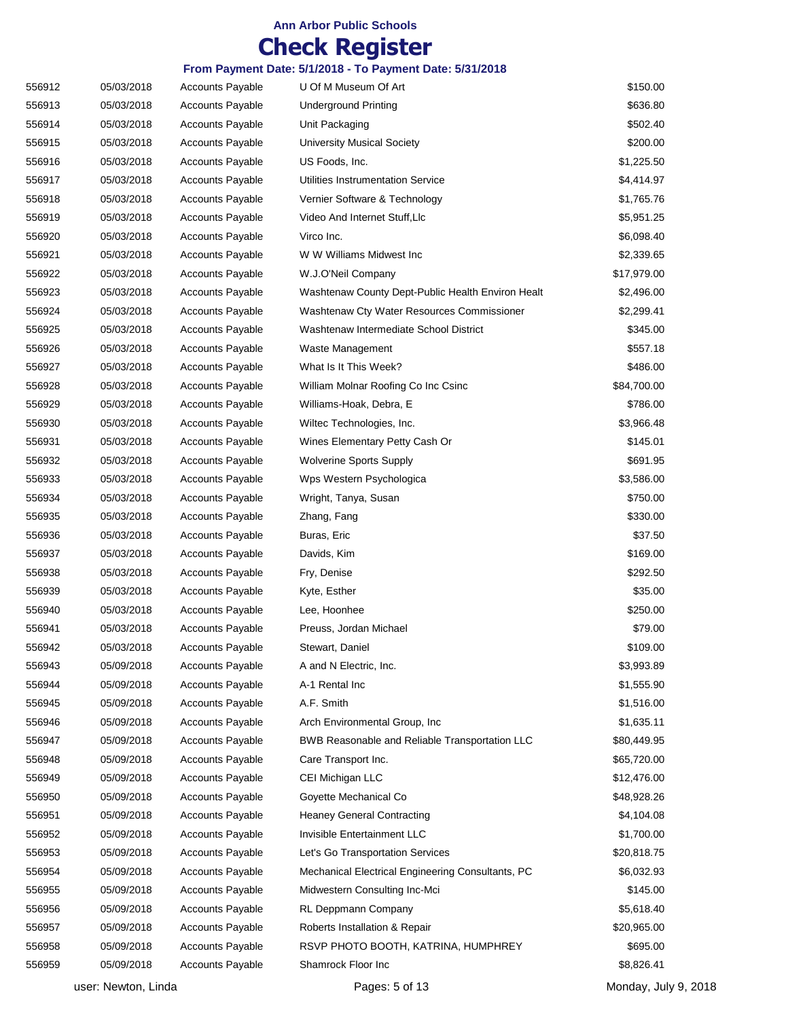## **Check Register**

| 556912 | 05/03/2018 | <b>Accounts Payable</b> | U Of M Museum Of Art                              | \$150.00    |
|--------|------------|-------------------------|---------------------------------------------------|-------------|
| 556913 | 05/03/2018 | <b>Accounts Payable</b> | <b>Underground Printing</b>                       | \$636.80    |
| 556914 | 05/03/2018 | <b>Accounts Payable</b> | Unit Packaging                                    | \$502.40    |
| 556915 | 05/03/2018 | <b>Accounts Payable</b> | <b>University Musical Society</b>                 | \$200.00    |
| 556916 | 05/03/2018 | <b>Accounts Payable</b> | US Foods, Inc.                                    | \$1,225.50  |
| 556917 | 05/03/2018 | <b>Accounts Payable</b> | Utilities Instrumentation Service                 | \$4,414.97  |
| 556918 | 05/03/2018 | <b>Accounts Payable</b> | Vernier Software & Technology                     | \$1,765.76  |
| 556919 | 05/03/2018 | <b>Accounts Payable</b> | Video And Internet Stuff, Llc                     | \$5,951.25  |
| 556920 | 05/03/2018 | <b>Accounts Payable</b> | Virco Inc.                                        | \$6,098.40  |
| 556921 | 05/03/2018 | <b>Accounts Payable</b> | W W Williams Midwest Inc                          | \$2,339.65  |
| 556922 | 05/03/2018 | <b>Accounts Payable</b> | W.J.O'Neil Company                                | \$17,979.00 |
| 556923 | 05/03/2018 | <b>Accounts Payable</b> | Washtenaw County Dept-Public Health Environ Healt | \$2,496.00  |
| 556924 | 05/03/2018 | <b>Accounts Payable</b> | Washtenaw Cty Water Resources Commissioner        | \$2,299.41  |
| 556925 | 05/03/2018 | <b>Accounts Payable</b> | Washtenaw Intermediate School District            | \$345.00    |
| 556926 | 05/03/2018 | <b>Accounts Payable</b> | Waste Management                                  | \$557.18    |
| 556927 | 05/03/2018 | <b>Accounts Payable</b> | What Is It This Week?                             | \$486.00    |
| 556928 | 05/03/2018 | <b>Accounts Payable</b> | William Molnar Roofing Co Inc Csinc               | \$84,700.00 |
| 556929 | 05/03/2018 | <b>Accounts Payable</b> | Williams-Hoak, Debra, E                           | \$786.00    |
| 556930 | 05/03/2018 | <b>Accounts Payable</b> | Wiltec Technologies, Inc.                         | \$3,966.48  |
| 556931 | 05/03/2018 | <b>Accounts Payable</b> | Wines Elementary Petty Cash Or                    | \$145.01    |
| 556932 | 05/03/2018 | <b>Accounts Payable</b> | <b>Wolverine Sports Supply</b>                    | \$691.95    |
| 556933 | 05/03/2018 | <b>Accounts Payable</b> | Wps Western Psychologica                          | \$3,586.00  |
| 556934 | 05/03/2018 | <b>Accounts Payable</b> | Wright, Tanya, Susan                              | \$750.00    |
| 556935 | 05/03/2018 | <b>Accounts Payable</b> | Zhang, Fang                                       | \$330.00    |
| 556936 | 05/03/2018 | <b>Accounts Payable</b> | Buras, Eric                                       | \$37.50     |
| 556937 | 05/03/2018 | <b>Accounts Payable</b> | Davids, Kim                                       | \$169.00    |
| 556938 | 05/03/2018 | <b>Accounts Payable</b> | Fry, Denise                                       | \$292.50    |
| 556939 | 05/03/2018 | <b>Accounts Payable</b> | Kyte, Esther                                      | \$35.00     |
| 556940 | 05/03/2018 | <b>Accounts Payable</b> | Lee, Hoonhee                                      | \$250.00    |
| 556941 | 05/03/2018 | <b>Accounts Payable</b> | Preuss, Jordan Michael                            | \$79.00     |
| 556942 | 05/03/2018 | <b>Accounts Payable</b> | Stewart, Daniel                                   | \$109.00    |
| 556943 | 05/09/2018 | <b>Accounts Payable</b> | A and N Electric, Inc.                            | \$3,993.89  |
| 556944 | 05/09/2018 | <b>Accounts Payable</b> | A-1 Rental Inc                                    | \$1,555.90  |
| 556945 | 05/09/2018 | <b>Accounts Payable</b> | A.F. Smith                                        | \$1,516.00  |
| 556946 | 05/09/2018 | <b>Accounts Payable</b> | Arch Environmental Group, Inc.                    | \$1,635.11  |
| 556947 | 05/09/2018 | <b>Accounts Payable</b> | BWB Reasonable and Reliable Transportation LLC    | \$80,449.95 |
| 556948 | 05/09/2018 | <b>Accounts Payable</b> | Care Transport Inc.                               | \$65,720.00 |
| 556949 | 05/09/2018 | <b>Accounts Payable</b> | CEI Michigan LLC                                  | \$12,476.00 |
| 556950 | 05/09/2018 | <b>Accounts Payable</b> | Goyette Mechanical Co                             | \$48,928.26 |
| 556951 | 05/09/2018 | <b>Accounts Payable</b> | <b>Heaney General Contracting</b>                 | \$4,104.08  |
| 556952 | 05/09/2018 | <b>Accounts Payable</b> | Invisible Entertainment LLC                       | \$1,700.00  |
| 556953 | 05/09/2018 | <b>Accounts Payable</b> | Let's Go Transportation Services                  | \$20,818.75 |
| 556954 | 05/09/2018 | <b>Accounts Payable</b> | Mechanical Electrical Engineering Consultants, PC | \$6,032.93  |
| 556955 | 05/09/2018 | <b>Accounts Payable</b> | Midwestern Consulting Inc-Mci                     | \$145.00    |
| 556956 | 05/09/2018 | <b>Accounts Payable</b> | RL Deppmann Company                               | \$5,618.40  |
| 556957 | 05/09/2018 | <b>Accounts Payable</b> | Roberts Installation & Repair                     | \$20,965.00 |
| 556958 | 05/09/2018 | <b>Accounts Payable</b> | RSVP PHOTO BOOTH, KATRINA, HUMPHREY               | \$695.00    |
| 556959 | 05/09/2018 | <b>Accounts Payable</b> | Shamrock Floor Inc                                | \$8,826.41  |
|        |            |                         |                                                   |             |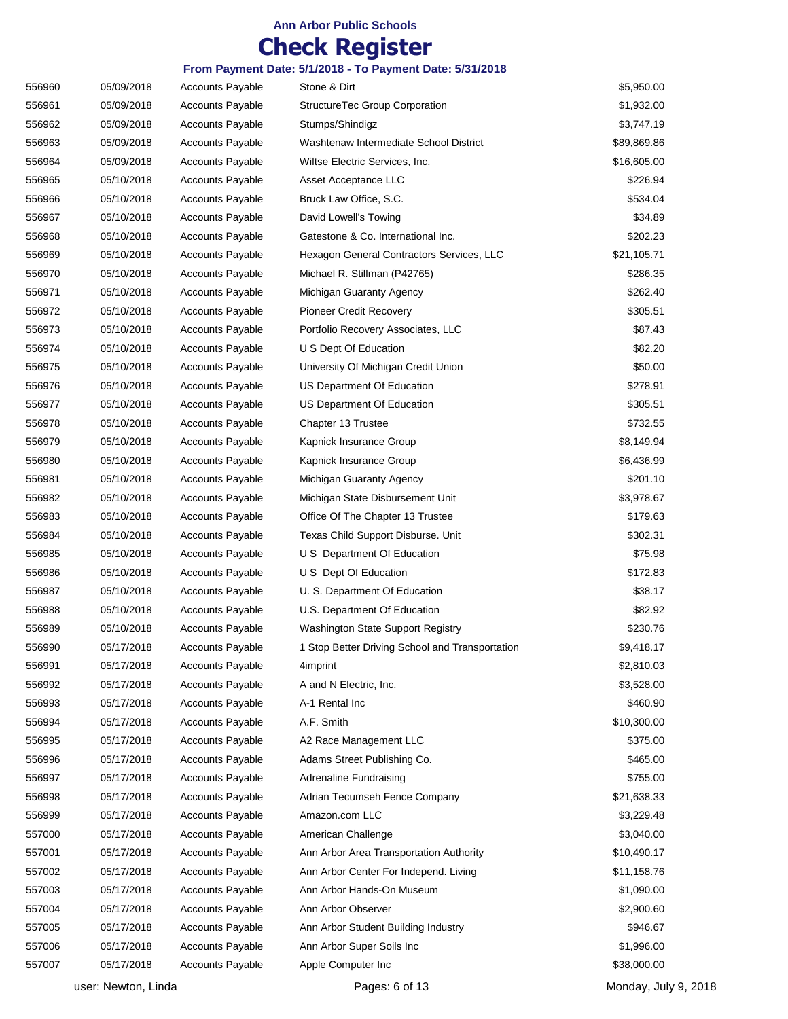## **Check Register**

| 556960 | 05/09/2018 | <b>Accounts Payable</b> | Stone & Dirt                                    | \$5,950.00  |
|--------|------------|-------------------------|-------------------------------------------------|-------------|
| 556961 | 05/09/2018 | <b>Accounts Payable</b> | StructureTec Group Corporation                  | \$1,932.00  |
| 556962 | 05/09/2018 | <b>Accounts Payable</b> | Stumps/Shindigz                                 | \$3,747.19  |
| 556963 | 05/09/2018 | <b>Accounts Payable</b> | Washtenaw Intermediate School District          | \$89,869.86 |
| 556964 | 05/09/2018 | <b>Accounts Payable</b> | Wiltse Electric Services, Inc.                  | \$16,605.00 |
| 556965 | 05/10/2018 | <b>Accounts Payable</b> | Asset Acceptance LLC                            | \$226.94    |
| 556966 | 05/10/2018 | <b>Accounts Payable</b> | Bruck Law Office, S.C.                          | \$534.04    |
| 556967 | 05/10/2018 | <b>Accounts Payable</b> | David Lowell's Towing                           | \$34.89     |
| 556968 | 05/10/2018 | <b>Accounts Payable</b> | Gatestone & Co. International Inc.              | \$202.23    |
| 556969 | 05/10/2018 | <b>Accounts Payable</b> | Hexagon General Contractors Services, LLC       | \$21,105.71 |
| 556970 | 05/10/2018 | <b>Accounts Payable</b> | Michael R. Stillman (P42765)                    | \$286.35    |
| 556971 | 05/10/2018 | <b>Accounts Payable</b> | Michigan Guaranty Agency                        | \$262.40    |
| 556972 | 05/10/2018 | <b>Accounts Payable</b> | Pioneer Credit Recovery                         | \$305.51    |
| 556973 | 05/10/2018 | <b>Accounts Payable</b> | Portfolio Recovery Associates, LLC              | \$87.43     |
| 556974 | 05/10/2018 | <b>Accounts Payable</b> | U S Dept Of Education                           | \$82.20     |
| 556975 | 05/10/2018 | <b>Accounts Payable</b> | University Of Michigan Credit Union             | \$50.00     |
| 556976 | 05/10/2018 | <b>Accounts Payable</b> | US Department Of Education                      | \$278.91    |
| 556977 | 05/10/2018 | <b>Accounts Payable</b> | US Department Of Education                      | \$305.51    |
| 556978 | 05/10/2018 | <b>Accounts Payable</b> | Chapter 13 Trustee                              | \$732.55    |
| 556979 | 05/10/2018 | <b>Accounts Payable</b> | Kapnick Insurance Group                         | \$8,149.94  |
| 556980 | 05/10/2018 | <b>Accounts Payable</b> | Kapnick Insurance Group                         | \$6,436.99  |
| 556981 | 05/10/2018 | <b>Accounts Payable</b> | Michigan Guaranty Agency                        | \$201.10    |
| 556982 | 05/10/2018 | <b>Accounts Payable</b> | Michigan State Disbursement Unit                | \$3,978.67  |
| 556983 | 05/10/2018 | <b>Accounts Payable</b> | Office Of The Chapter 13 Trustee                | \$179.63    |
| 556984 | 05/10/2018 | <b>Accounts Payable</b> | Texas Child Support Disburse. Unit              | \$302.31    |
| 556985 | 05/10/2018 | <b>Accounts Payable</b> | U S Department Of Education                     | \$75.98     |
| 556986 | 05/10/2018 | <b>Accounts Payable</b> | U S Dept Of Education                           | \$172.83    |
| 556987 | 05/10/2018 | <b>Accounts Payable</b> | U. S. Department Of Education                   | \$38.17     |
| 556988 | 05/10/2018 | <b>Accounts Payable</b> | U.S. Department Of Education                    | \$82.92     |
| 556989 | 05/10/2018 | <b>Accounts Payable</b> | Washington State Support Registry               | \$230.76    |
| 556990 | 05/17/2018 | <b>Accounts Payable</b> | 1 Stop Better Driving School and Transportation | \$9,418.17  |
| 556991 | 05/17/2018 | <b>Accounts Payable</b> | 4imprint                                        | \$2,810.03  |
| 556992 | 05/17/2018 | <b>Accounts Payable</b> | A and N Electric, Inc.                          | \$3,528.00  |
| 556993 | 05/17/2018 | <b>Accounts Payable</b> | A-1 Rental Inc                                  | \$460.90    |
| 556994 | 05/17/2018 | <b>Accounts Payable</b> | A.F. Smith                                      | \$10,300.00 |
| 556995 | 05/17/2018 | <b>Accounts Payable</b> | A2 Race Management LLC                          | \$375.00    |
| 556996 | 05/17/2018 | <b>Accounts Payable</b> | Adams Street Publishing Co.                     | \$465.00    |
| 556997 | 05/17/2018 | <b>Accounts Payable</b> | Adrenaline Fundraising                          | \$755.00    |
| 556998 | 05/17/2018 | <b>Accounts Payable</b> | Adrian Tecumseh Fence Company                   | \$21,638.33 |
| 556999 | 05/17/2018 | <b>Accounts Payable</b> | Amazon.com LLC                                  | \$3,229.48  |
| 557000 | 05/17/2018 | Accounts Payable        | American Challenge                              | \$3,040.00  |
| 557001 | 05/17/2018 | <b>Accounts Payable</b> | Ann Arbor Area Transportation Authority         | \$10,490.17 |
| 557002 | 05/17/2018 | <b>Accounts Payable</b> | Ann Arbor Center For Independ. Living           | \$11,158.76 |
| 557003 | 05/17/2018 | <b>Accounts Payable</b> | Ann Arbor Hands-On Museum                       | \$1,090.00  |
| 557004 | 05/17/2018 | <b>Accounts Payable</b> | Ann Arbor Observer                              | \$2,900.60  |
| 557005 | 05/17/2018 | <b>Accounts Payable</b> | Ann Arbor Student Building Industry             | \$946.67    |
| 557006 | 05/17/2018 | <b>Accounts Payable</b> | Ann Arbor Super Soils Inc                       | \$1,996.00  |
| 557007 | 05/17/2018 | <b>Accounts Payable</b> | Apple Computer Inc                              | \$38,000.00 |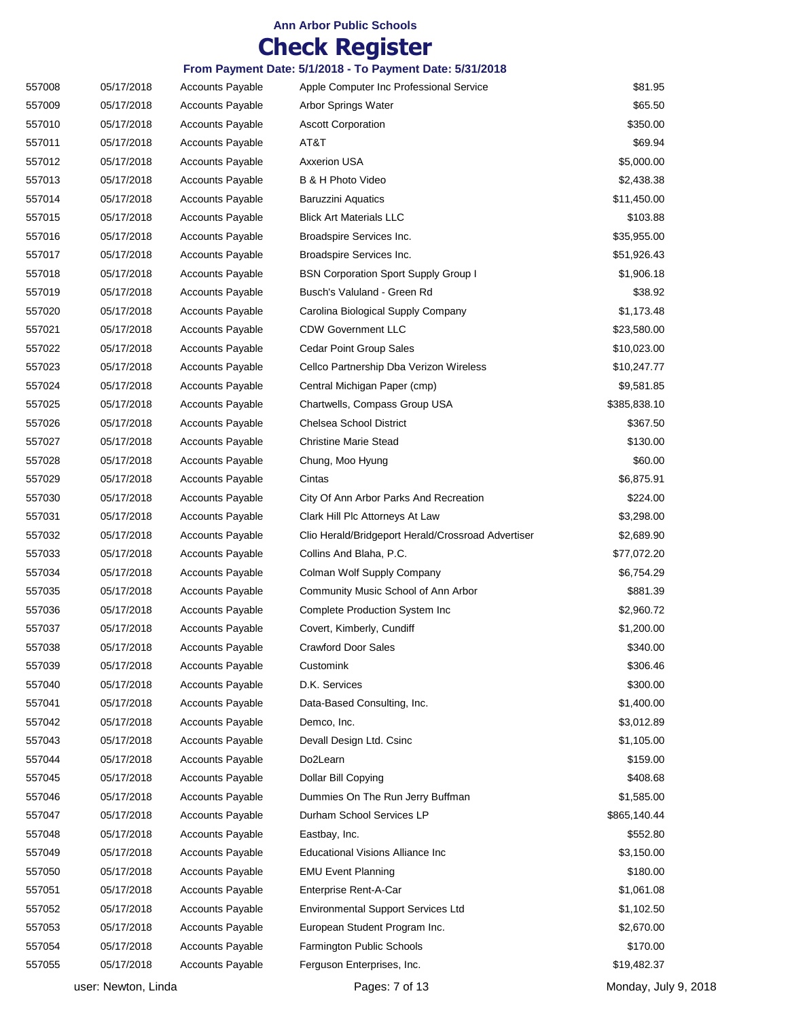## **Check Register**

| 557008 | 05/17/2018 | <b>Accounts Payable</b> | Apple Computer Inc Professional Service            | \$81.95      |
|--------|------------|-------------------------|----------------------------------------------------|--------------|
| 557009 | 05/17/2018 | <b>Accounts Payable</b> | Arbor Springs Water                                | \$65.50      |
| 557010 | 05/17/2018 | <b>Accounts Payable</b> | <b>Ascott Corporation</b>                          | \$350.00     |
| 557011 | 05/17/2018 | <b>Accounts Payable</b> | AT&T                                               | \$69.94      |
| 557012 | 05/17/2018 | <b>Accounts Payable</b> | <b>Axxerion USA</b>                                | \$5,000.00   |
| 557013 | 05/17/2018 | <b>Accounts Payable</b> | B & H Photo Video                                  | \$2,438.38   |
| 557014 | 05/17/2018 | <b>Accounts Payable</b> | Baruzzini Aquatics                                 | \$11,450.00  |
| 557015 | 05/17/2018 | <b>Accounts Payable</b> | <b>Blick Art Materials LLC</b>                     | \$103.88     |
| 557016 | 05/17/2018 | <b>Accounts Payable</b> | Broadspire Services Inc.                           | \$35,955.00  |
| 557017 | 05/17/2018 | <b>Accounts Payable</b> | Broadspire Services Inc.                           | \$51,926.43  |
| 557018 | 05/17/2018 | <b>Accounts Payable</b> | <b>BSN Corporation Sport Supply Group I</b>        | \$1,906.18   |
| 557019 | 05/17/2018 | <b>Accounts Payable</b> | Busch's Valuland - Green Rd                        | \$38.92      |
| 557020 | 05/17/2018 | <b>Accounts Payable</b> | Carolina Biological Supply Company                 | \$1,173.48   |
| 557021 | 05/17/2018 | <b>Accounts Payable</b> | <b>CDW Government LLC</b>                          | \$23,580.00  |
| 557022 | 05/17/2018 | <b>Accounts Payable</b> | <b>Cedar Point Group Sales</b>                     | \$10,023.00  |
| 557023 | 05/17/2018 | <b>Accounts Payable</b> | Cellco Partnership Dba Verizon Wireless            | \$10,247.77  |
| 557024 | 05/17/2018 | <b>Accounts Payable</b> | Central Michigan Paper (cmp)                       | \$9,581.85   |
| 557025 | 05/17/2018 | <b>Accounts Payable</b> | Chartwells, Compass Group USA                      | \$385,838.10 |
| 557026 | 05/17/2018 | <b>Accounts Payable</b> | Chelsea School District                            | \$367.50     |
| 557027 | 05/17/2018 | <b>Accounts Payable</b> | <b>Christine Marie Stead</b>                       | \$130.00     |
| 557028 | 05/17/2018 | <b>Accounts Payable</b> | Chung, Moo Hyung                                   | \$60.00      |
| 557029 | 05/17/2018 | <b>Accounts Payable</b> | Cintas                                             | \$6,875.91   |
| 557030 | 05/17/2018 | <b>Accounts Payable</b> | City Of Ann Arbor Parks And Recreation             | \$224.00     |
| 557031 | 05/17/2018 | <b>Accounts Payable</b> | Clark Hill Plc Attorneys At Law                    | \$3,298.00   |
| 557032 | 05/17/2018 | <b>Accounts Payable</b> | Clio Herald/Bridgeport Herald/Crossroad Advertiser | \$2,689.90   |
| 557033 | 05/17/2018 | <b>Accounts Payable</b> | Collins And Blaha, P.C.                            | \$77,072.20  |
| 557034 | 05/17/2018 | <b>Accounts Payable</b> | Colman Wolf Supply Company                         | \$6,754.29   |
| 557035 | 05/17/2018 | <b>Accounts Payable</b> | Community Music School of Ann Arbor                | \$881.39     |
| 557036 | 05/17/2018 | <b>Accounts Payable</b> | <b>Complete Production System Inc</b>              | \$2,960.72   |
| 557037 | 05/17/2018 | <b>Accounts Payable</b> | Covert, Kimberly, Cundiff                          | \$1,200.00   |
| 557038 | 05/17/2018 | <b>Accounts Payable</b> | <b>Crawford Door Sales</b>                         | \$340.00     |
| 557039 | 05/17/2018 | <b>Accounts Payable</b> | Customink                                          | \$306.46     |
| 557040 | 05/17/2018 | <b>Accounts Payable</b> | D.K. Services                                      | \$300.00     |
| 557041 | 05/17/2018 | <b>Accounts Payable</b> | Data-Based Consulting, Inc.                        | \$1,400.00   |
| 557042 | 05/17/2018 | <b>Accounts Payable</b> | Demco, Inc.                                        | \$3,012.89   |
| 557043 | 05/17/2018 | <b>Accounts Payable</b> | Devall Design Ltd. Csinc                           | \$1,105.00   |
| 557044 | 05/17/2018 | Accounts Payable        | Do2Learn                                           | \$159.00     |
| 557045 | 05/17/2018 | <b>Accounts Payable</b> | Dollar Bill Copying                                | \$408.68     |
| 557046 | 05/17/2018 | <b>Accounts Payable</b> | Dummies On The Run Jerry Buffman                   | \$1,585.00   |
| 557047 | 05/17/2018 | <b>Accounts Payable</b> | Durham School Services LP                          | \$865,140.44 |
| 557048 | 05/17/2018 | <b>Accounts Payable</b> | Eastbay, Inc.                                      | \$552.80     |
| 557049 | 05/17/2018 | <b>Accounts Payable</b> | Educational Visions Alliance Inc                   | \$3,150.00   |
| 557050 | 05/17/2018 | <b>Accounts Payable</b> | <b>EMU Event Planning</b>                          | \$180.00     |
| 557051 | 05/17/2018 | <b>Accounts Payable</b> | Enterprise Rent-A-Car                              | \$1,061.08   |
| 557052 | 05/17/2018 | <b>Accounts Payable</b> | <b>Environmental Support Services Ltd</b>          | \$1,102.50   |
| 557053 | 05/17/2018 | <b>Accounts Payable</b> | European Student Program Inc.                      | \$2,670.00   |
| 557054 | 05/17/2018 | <b>Accounts Payable</b> | Farmington Public Schools                          | \$170.00     |
| 557055 | 05/17/2018 | <b>Accounts Payable</b> | Ferguson Enterprises, Inc.                         | \$19,482.37  |
|        |            |                         |                                                    |              |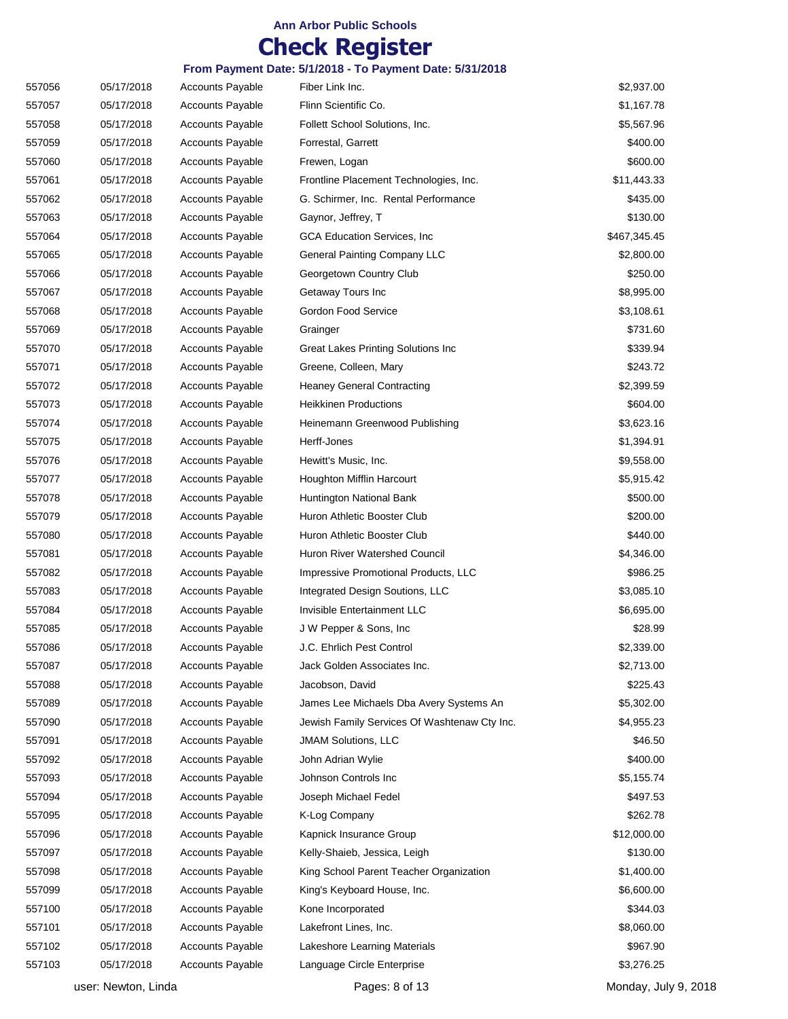## **Check Register**

| 557056 | 05/17/2018 | <b>Accounts Payable</b> | Fiber Link Inc.                              | \$2,937.00   |
|--------|------------|-------------------------|----------------------------------------------|--------------|
| 557057 | 05/17/2018 | <b>Accounts Payable</b> | Flinn Scientific Co.                         | \$1,167.78   |
| 557058 | 05/17/2018 | <b>Accounts Payable</b> | Follett School Solutions, Inc.               | \$5,567.96   |
| 557059 | 05/17/2018 | <b>Accounts Payable</b> | Forrestal, Garrett                           | \$400.00     |
| 557060 | 05/17/2018 | <b>Accounts Payable</b> | Frewen, Logan                                | \$600.00     |
| 557061 | 05/17/2018 | <b>Accounts Payable</b> | Frontline Placement Technologies, Inc.       | \$11,443.33  |
| 557062 | 05/17/2018 | <b>Accounts Payable</b> | G. Schirmer, Inc. Rental Performance         | \$435.00     |
| 557063 | 05/17/2018 | <b>Accounts Payable</b> | Gaynor, Jeffrey, T                           | \$130.00     |
| 557064 | 05/17/2018 | <b>Accounts Payable</b> | <b>GCA Education Services, Inc.</b>          | \$467,345.45 |
| 557065 | 05/17/2018 | <b>Accounts Payable</b> | <b>General Painting Company LLC</b>          | \$2,800.00   |
| 557066 | 05/17/2018 | <b>Accounts Payable</b> | Georgetown Country Club                      | \$250.00     |
| 557067 | 05/17/2018 | <b>Accounts Payable</b> | Getaway Tours Inc                            | \$8,995.00   |
| 557068 | 05/17/2018 | <b>Accounts Payable</b> | Gordon Food Service                          | \$3,108.61   |
| 557069 | 05/17/2018 | <b>Accounts Payable</b> | Grainger                                     | \$731.60     |
| 557070 | 05/17/2018 | <b>Accounts Payable</b> | Great Lakes Printing Solutions Inc           | \$339.94     |
| 557071 | 05/17/2018 | <b>Accounts Payable</b> | Greene, Colleen, Mary                        | \$243.72     |
| 557072 | 05/17/2018 | <b>Accounts Payable</b> | <b>Heaney General Contracting</b>            | \$2,399.59   |
| 557073 | 05/17/2018 | <b>Accounts Payable</b> | <b>Heikkinen Productions</b>                 | \$604.00     |
| 557074 | 05/17/2018 | <b>Accounts Payable</b> | Heinemann Greenwood Publishing               | \$3,623.16   |
| 557075 | 05/17/2018 | <b>Accounts Payable</b> | Herff-Jones                                  | \$1,394.91   |
| 557076 | 05/17/2018 | <b>Accounts Payable</b> | Hewitt's Music, Inc.                         | \$9,558.00   |
| 557077 | 05/17/2018 | <b>Accounts Payable</b> | Houghton Mifflin Harcourt                    | \$5,915.42   |
| 557078 | 05/17/2018 | <b>Accounts Payable</b> | Huntington National Bank                     | \$500.00     |
| 557079 | 05/17/2018 | <b>Accounts Payable</b> | Huron Athletic Booster Club                  | \$200.00     |
| 557080 | 05/17/2018 | <b>Accounts Payable</b> | Huron Athletic Booster Club                  | \$440.00     |
| 557081 | 05/17/2018 | <b>Accounts Payable</b> | Huron River Watershed Council                | \$4,346.00   |
| 557082 | 05/17/2018 | <b>Accounts Payable</b> | Impressive Promotional Products, LLC         | \$986.25     |
| 557083 | 05/17/2018 | Accounts Payable        | Integrated Design Soutions, LLC              | \$3,085.10   |
| 557084 | 05/17/2018 | <b>Accounts Payable</b> | Invisible Entertainment LLC                  | \$6,695.00   |
| 557085 | 05/17/2018 | <b>Accounts Payable</b> | J W Pepper & Sons, Inc.                      | \$28.99      |
| 557086 | 05/17/2018 | <b>Accounts Payable</b> | J.C. Ehrlich Pest Control                    | \$2,339.00   |
| 557087 | 05/17/2018 | <b>Accounts Payable</b> | Jack Golden Associates Inc.                  | \$2,713.00   |
| 557088 | 05/17/2018 | <b>Accounts Payable</b> | Jacobson, David                              | \$225.43     |
| 557089 | 05/17/2018 | <b>Accounts Payable</b> | James Lee Michaels Dba Avery Systems An      | \$5,302.00   |
| 557090 | 05/17/2018 | <b>Accounts Payable</b> | Jewish Family Services Of Washtenaw Cty Inc. | \$4,955.23   |
| 557091 | 05/17/2018 | <b>Accounts Payable</b> | <b>JMAM Solutions, LLC</b>                   | \$46.50      |
| 557092 | 05/17/2018 | <b>Accounts Payable</b> | John Adrian Wylie                            | \$400.00     |
| 557093 | 05/17/2018 | <b>Accounts Payable</b> | Johnson Controls Inc                         | \$5,155.74   |
| 557094 | 05/17/2018 | <b>Accounts Payable</b> | Joseph Michael Fedel                         | \$497.53     |
| 557095 | 05/17/2018 | <b>Accounts Payable</b> | K-Log Company                                | \$262.78     |
| 557096 | 05/17/2018 | <b>Accounts Payable</b> | Kapnick Insurance Group                      | \$12,000.00  |
| 557097 | 05/17/2018 | <b>Accounts Payable</b> | Kelly-Shaieb, Jessica, Leigh                 | \$130.00     |
| 557098 | 05/17/2018 | <b>Accounts Payable</b> | King School Parent Teacher Organization      | \$1,400.00   |
| 557099 | 05/17/2018 | <b>Accounts Payable</b> | King's Keyboard House, Inc.                  | \$6,600.00   |
| 557100 | 05/17/2018 | <b>Accounts Payable</b> | Kone Incorporated                            | \$344.03     |
| 557101 | 05/17/2018 | <b>Accounts Payable</b> | Lakefront Lines, Inc.                        | \$8,060.00   |
| 557102 | 05/17/2018 | <b>Accounts Payable</b> | Lakeshore Learning Materials                 | \$967.90     |
| 557103 | 05/17/2018 | <b>Accounts Payable</b> | Language Circle Enterprise                   | \$3,276.25   |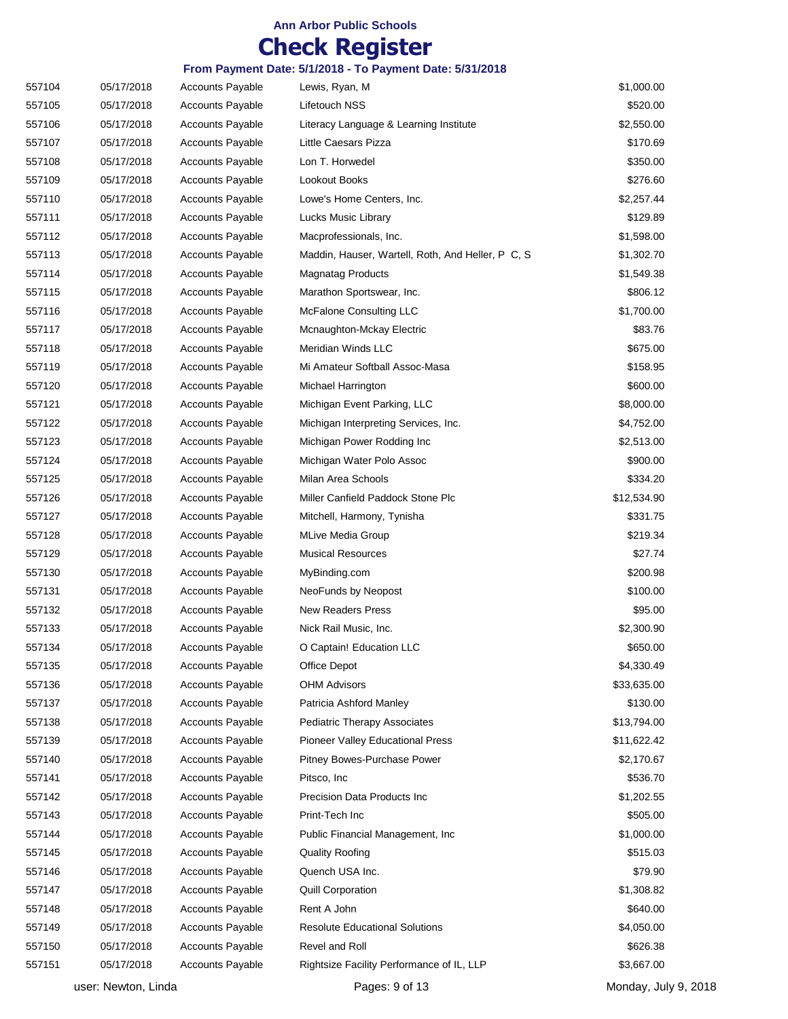## **Check Register**

| 557104 | 05/17/2018 | <b>Accounts Payable</b> | Lewis, Ryan, M                                    | \$1,000.00  |
|--------|------------|-------------------------|---------------------------------------------------|-------------|
| 557105 | 05/17/2018 | <b>Accounts Payable</b> | Lifetouch NSS                                     | \$520.00    |
| 557106 | 05/17/2018 | <b>Accounts Payable</b> | Literacy Language & Learning Institute            | \$2,550.00  |
| 557107 | 05/17/2018 | <b>Accounts Payable</b> | Little Caesars Pizza                              | \$170.69    |
| 557108 | 05/17/2018 | <b>Accounts Payable</b> | Lon T. Horwedel                                   | \$350.00    |
| 557109 | 05/17/2018 | <b>Accounts Payable</b> | Lookout Books                                     | \$276.60    |
| 557110 | 05/17/2018 | <b>Accounts Payable</b> | Lowe's Home Centers, Inc.                         | \$2,257.44  |
| 557111 | 05/17/2018 | <b>Accounts Payable</b> | Lucks Music Library                               | \$129.89    |
| 557112 | 05/17/2018 | <b>Accounts Payable</b> | Macprofessionals, Inc.                            | \$1,598.00  |
| 557113 | 05/17/2018 | <b>Accounts Payable</b> | Maddin, Hauser, Wartell, Roth, And Heller, P C, S | \$1,302.70  |
| 557114 | 05/17/2018 | <b>Accounts Payable</b> | <b>Magnatag Products</b>                          | \$1,549.38  |
| 557115 | 05/17/2018 | <b>Accounts Payable</b> | Marathon Sportswear, Inc.                         | \$806.12    |
| 557116 | 05/17/2018 | <b>Accounts Payable</b> | <b>McFalone Consulting LLC</b>                    | \$1,700.00  |
| 557117 | 05/17/2018 | <b>Accounts Payable</b> | Mcnaughton-Mckay Electric                         | \$83.76     |
| 557118 | 05/17/2018 | <b>Accounts Payable</b> | Meridian Winds LLC                                | \$675.00    |
| 557119 | 05/17/2018 | <b>Accounts Payable</b> | Mi Amateur Softball Assoc-Masa                    | \$158.95    |
| 557120 | 05/17/2018 | <b>Accounts Payable</b> | Michael Harrington                                | \$600.00    |
| 557121 | 05/17/2018 | <b>Accounts Payable</b> | Michigan Event Parking, LLC                       | \$8,000.00  |
| 557122 | 05/17/2018 | <b>Accounts Payable</b> | Michigan Interpreting Services, Inc.              | \$4,752.00  |
| 557123 | 05/17/2018 | <b>Accounts Payable</b> | Michigan Power Rodding Inc                        | \$2,513.00  |
| 557124 | 05/17/2018 | <b>Accounts Payable</b> | Michigan Water Polo Assoc                         | \$900.00    |
| 557125 | 05/17/2018 | <b>Accounts Payable</b> | Milan Area Schools                                | \$334.20    |
| 557126 | 05/17/2018 | <b>Accounts Payable</b> | Miller Canfield Paddock Stone Plc                 | \$12,534.90 |
| 557127 | 05/17/2018 | <b>Accounts Payable</b> | Mitchell, Harmony, Tynisha                        | \$331.75    |
| 557128 | 05/17/2018 | <b>Accounts Payable</b> | <b>MLive Media Group</b>                          | \$219.34    |
| 557129 | 05/17/2018 | <b>Accounts Payable</b> | <b>Musical Resources</b>                          | \$27.74     |
| 557130 | 05/17/2018 | <b>Accounts Payable</b> | MyBinding.com                                     | \$200.98    |
| 557131 | 05/17/2018 | <b>Accounts Payable</b> | NeoFunds by Neopost                               | \$100.00    |
| 557132 | 05/17/2018 | <b>Accounts Payable</b> | <b>New Readers Press</b>                          | \$95.00     |
| 557133 | 05/17/2018 | <b>Accounts Payable</b> | Nick Rail Music, Inc.                             | \$2,300.90  |
| 557134 | 05/17/2018 | <b>Accounts Payable</b> | O Captain! Education LLC                          | \$650.00    |
| 557135 | 05/17/2018 | <b>Accounts Payable</b> | Office Depot                                      | \$4,330.49  |
| 557136 | 05/17/2018 | <b>Accounts Payable</b> | <b>OHM Advisors</b>                               | \$33,635.00 |
| 557137 | 05/17/2018 | <b>Accounts Payable</b> | Patricia Ashford Manley                           | \$130.00    |
| 557138 | 05/17/2018 | <b>Accounts Payable</b> | <b>Pediatric Therapy Associates</b>               | \$13,794.00 |
| 557139 | 05/17/2018 | <b>Accounts Payable</b> | <b>Pioneer Valley Educational Press</b>           | \$11,622.42 |
| 557140 | 05/17/2018 | <b>Accounts Payable</b> | Pitney Bowes-Purchase Power                       | \$2,170.67  |
| 557141 | 05/17/2018 | <b>Accounts Payable</b> | Pitsco, Inc                                       | \$536.70    |
| 557142 | 05/17/2018 | <b>Accounts Payable</b> | Precision Data Products Inc                       | \$1,202.55  |
| 557143 | 05/17/2018 | <b>Accounts Payable</b> | Print-Tech Inc                                    | \$505.00    |
| 557144 | 05/17/2018 | Accounts Payable        | Public Financial Management, Inc.                 | \$1,000.00  |
| 557145 | 05/17/2018 | <b>Accounts Payable</b> | <b>Quality Roofing</b>                            | \$515.03    |
| 557146 | 05/17/2018 | <b>Accounts Payable</b> | Quench USA Inc.                                   | \$79.90     |
| 557147 | 05/17/2018 | <b>Accounts Payable</b> | <b>Quill Corporation</b>                          | \$1,308.82  |
| 557148 | 05/17/2018 | <b>Accounts Payable</b> | Rent A John                                       | \$640.00    |
| 557149 | 05/17/2018 | <b>Accounts Payable</b> | <b>Resolute Educational Solutions</b>             | \$4,050.00  |
| 557150 | 05/17/2018 | <b>Accounts Payable</b> | Revel and Roll                                    | \$626.38    |
| 557151 | 05/17/2018 | Accounts Payable        | Rightsize Facility Performance of IL, LLP         | \$3,667.00  |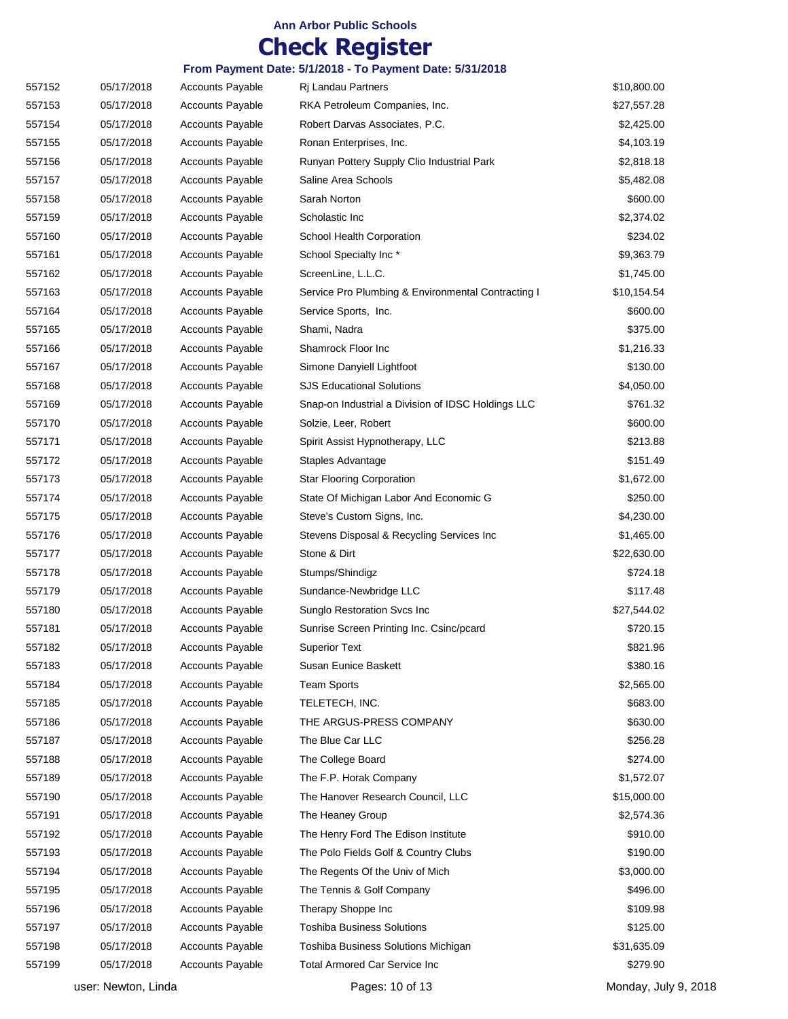## **Check Register**

| 557152 | 05/17/2018 | <b>Accounts Payable</b> | Ri Landau Partners                                 | \$10,800.00 |
|--------|------------|-------------------------|----------------------------------------------------|-------------|
| 557153 | 05/17/2018 | <b>Accounts Payable</b> | RKA Petroleum Companies, Inc.                      | \$27,557.28 |
| 557154 | 05/17/2018 | <b>Accounts Payable</b> | Robert Darvas Associates, P.C.                     | \$2,425.00  |
| 557155 | 05/17/2018 | <b>Accounts Payable</b> | Ronan Enterprises, Inc.                            | \$4,103.19  |
| 557156 | 05/17/2018 | <b>Accounts Payable</b> | Runyan Pottery Supply Clio Industrial Park         | \$2,818.18  |
| 557157 | 05/17/2018 | <b>Accounts Payable</b> | Saline Area Schools                                | \$5,482.08  |
| 557158 | 05/17/2018 | <b>Accounts Payable</b> | Sarah Norton                                       | \$600.00    |
| 557159 | 05/17/2018 | <b>Accounts Payable</b> | Scholastic Inc                                     | \$2,374.02  |
| 557160 | 05/17/2018 | <b>Accounts Payable</b> | School Health Corporation                          | \$234.02    |
| 557161 | 05/17/2018 | <b>Accounts Payable</b> | School Specialty Inc*                              | \$9,363.79  |
| 557162 | 05/17/2018 | <b>Accounts Payable</b> | ScreenLine, L.L.C.                                 | \$1,745.00  |
| 557163 | 05/17/2018 | <b>Accounts Payable</b> | Service Pro Plumbing & Environmental Contracting I | \$10,154.54 |
| 557164 | 05/17/2018 | <b>Accounts Payable</b> | Service Sports, Inc.                               | \$600.00    |
| 557165 | 05/17/2018 | <b>Accounts Payable</b> | Shami, Nadra                                       | \$375.00    |
| 557166 | 05/17/2018 | <b>Accounts Payable</b> | Shamrock Floor Inc                                 | \$1,216.33  |
| 557167 | 05/17/2018 | <b>Accounts Payable</b> | Simone Danyiell Lightfoot                          | \$130.00    |
| 557168 | 05/17/2018 | <b>Accounts Payable</b> | <b>SJS Educational Solutions</b>                   | \$4,050.00  |
| 557169 | 05/17/2018 | <b>Accounts Payable</b> | Snap-on Industrial a Division of IDSC Holdings LLC | \$761.32    |
| 557170 | 05/17/2018 | <b>Accounts Payable</b> | Solzie, Leer, Robert                               | \$600.00    |
| 557171 | 05/17/2018 | <b>Accounts Payable</b> | Spirit Assist Hypnotherapy, LLC                    | \$213.88    |
| 557172 | 05/17/2018 | <b>Accounts Payable</b> | Staples Advantage                                  | \$151.49    |
| 557173 | 05/17/2018 | <b>Accounts Payable</b> | <b>Star Flooring Corporation</b>                   | \$1,672.00  |
| 557174 | 05/17/2018 | <b>Accounts Payable</b> | State Of Michigan Labor And Economic G             | \$250.00    |
| 557175 | 05/17/2018 | <b>Accounts Payable</b> | Steve's Custom Signs, Inc.                         | \$4,230.00  |
| 557176 | 05/17/2018 | <b>Accounts Payable</b> | Stevens Disposal & Recycling Services Inc          | \$1,465.00  |
| 557177 | 05/17/2018 | <b>Accounts Payable</b> | Stone & Dirt                                       | \$22,630.00 |
| 557178 | 05/17/2018 | <b>Accounts Payable</b> | Stumps/Shindigz                                    | \$724.18    |
| 557179 | 05/17/2018 | <b>Accounts Payable</b> | Sundance-Newbridge LLC                             | \$117.48    |
| 557180 | 05/17/2018 | Accounts Payable        | Sunglo Restoration Svcs Inc                        | \$27,544.02 |
| 557181 | 05/17/2018 | <b>Accounts Payable</b> | Sunrise Screen Printing Inc. Csinc/pcard           | \$720.15    |
| 557182 | 05/17/2018 | <b>Accounts Payable</b> | <b>Superior Text</b>                               | \$821.96    |
| 557183 | 05/17/2018 | <b>Accounts Payable</b> | Susan Eunice Baskett                               | \$380.16    |
| 557184 | 05/17/2018 | <b>Accounts Payable</b> | <b>Team Sports</b>                                 | \$2,565.00  |
| 557185 | 05/17/2018 | <b>Accounts Payable</b> | TELETECH, INC.                                     | \$683.00    |
| 557186 | 05/17/2018 | <b>Accounts Payable</b> | THE ARGUS-PRESS COMPANY                            | \$630.00    |
| 557187 | 05/17/2018 | <b>Accounts Payable</b> | The Blue Car LLC                                   | \$256.28    |
| 557188 | 05/17/2018 | <b>Accounts Payable</b> | The College Board                                  | \$274.00    |
| 557189 | 05/17/2018 | <b>Accounts Payable</b> | The F.P. Horak Company                             | \$1,572.07  |
| 557190 | 05/17/2018 | <b>Accounts Payable</b> | The Hanover Research Council, LLC                  | \$15,000.00 |
| 557191 | 05/17/2018 | <b>Accounts Payable</b> | The Heaney Group                                   | \$2,574.36  |
| 557192 | 05/17/2018 | <b>Accounts Payable</b> | The Henry Ford The Edison Institute                | \$910.00    |
| 557193 | 05/17/2018 | <b>Accounts Payable</b> | The Polo Fields Golf & Country Clubs               | \$190.00    |
| 557194 | 05/17/2018 | <b>Accounts Payable</b> | The Regents Of the Univ of Mich                    | \$3,000.00  |
| 557195 | 05/17/2018 | <b>Accounts Payable</b> | The Tennis & Golf Company                          | \$496.00    |
| 557196 | 05/17/2018 | <b>Accounts Payable</b> | Therapy Shoppe Inc                                 | \$109.98    |
| 557197 | 05/17/2018 | <b>Accounts Payable</b> | <b>Toshiba Business Solutions</b>                  | \$125.00    |
| 557198 | 05/17/2018 | <b>Accounts Payable</b> | Toshiba Business Solutions Michigan                | \$31,635.09 |
| 557199 | 05/17/2018 | <b>Accounts Payable</b> | <b>Total Armored Car Service Inc</b>               | \$279.90    |
|        |            |                         |                                                    |             |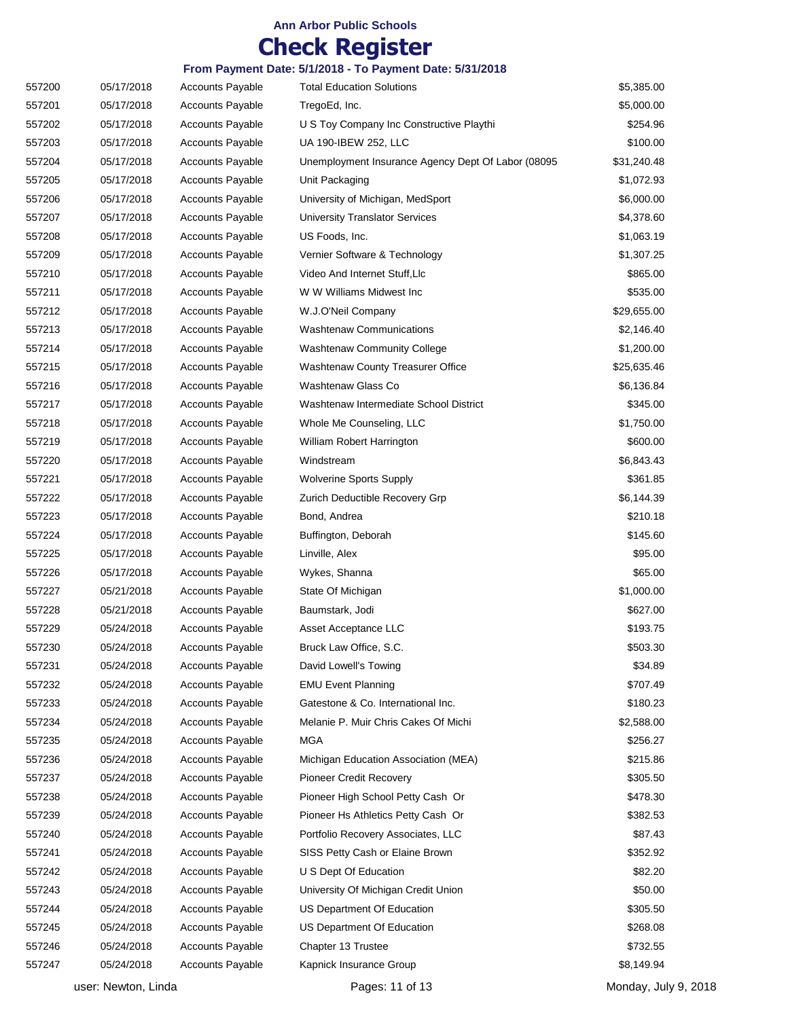## **Check Register**

| 557200 | 05/17/2018 | <b>Accounts Payable</b> | <b>Total Education Solutions</b>                   | \$5,385.00  |
|--------|------------|-------------------------|----------------------------------------------------|-------------|
| 557201 | 05/17/2018 | <b>Accounts Payable</b> | TregoEd, Inc.                                      | \$5,000.00  |
| 557202 | 05/17/2018 | <b>Accounts Payable</b> | U S Toy Company Inc Constructive Playthi           | \$254.96    |
| 557203 | 05/17/2018 | <b>Accounts Payable</b> | UA 190-IBEW 252, LLC                               | \$100.00    |
| 557204 | 05/17/2018 | <b>Accounts Payable</b> | Unemployment Insurance Agency Dept Of Labor (08095 | \$31,240.48 |
| 557205 | 05/17/2018 | <b>Accounts Payable</b> | Unit Packaging                                     | \$1,072.93  |
| 557206 | 05/17/2018 | <b>Accounts Payable</b> | University of Michigan, MedSport                   | \$6,000.00  |
| 557207 | 05/17/2018 | <b>Accounts Payable</b> | <b>University Translator Services</b>              | \$4,378.60  |
| 557208 | 05/17/2018 | <b>Accounts Payable</b> | US Foods, Inc.                                     | \$1,063.19  |
| 557209 | 05/17/2018 | <b>Accounts Payable</b> | Vernier Software & Technology                      | \$1,307.25  |
| 557210 | 05/17/2018 | <b>Accounts Payable</b> | Video And Internet Stuff, Llc                      | \$865.00    |
| 557211 | 05/17/2018 | <b>Accounts Payable</b> | W W Williams Midwest Inc                           | \$535.00    |
| 557212 | 05/17/2018 | <b>Accounts Payable</b> | W.J.O'Neil Company                                 | \$29,655.00 |
| 557213 | 05/17/2018 | <b>Accounts Payable</b> | <b>Washtenaw Communications</b>                    | \$2,146.40  |
| 557214 | 05/17/2018 | <b>Accounts Payable</b> | <b>Washtenaw Community College</b>                 | \$1,200.00  |
| 557215 | 05/17/2018 | <b>Accounts Payable</b> | Washtenaw County Treasurer Office                  | \$25,635.46 |
| 557216 | 05/17/2018 | <b>Accounts Payable</b> | Washtenaw Glass Co                                 | \$6,136.84  |
| 557217 | 05/17/2018 | <b>Accounts Payable</b> | Washtenaw Intermediate School District             | \$345.00    |
| 557218 | 05/17/2018 | <b>Accounts Payable</b> | Whole Me Counseling, LLC                           | \$1,750.00  |
| 557219 | 05/17/2018 | <b>Accounts Payable</b> | William Robert Harrington                          | \$600.00    |
| 557220 | 05/17/2018 | <b>Accounts Payable</b> | Windstream                                         | \$6,843.43  |
| 557221 | 05/17/2018 | <b>Accounts Payable</b> | <b>Wolverine Sports Supply</b>                     | \$361.85    |
| 557222 | 05/17/2018 | <b>Accounts Payable</b> | Zurich Deductible Recovery Grp                     | \$6,144.39  |
| 557223 | 05/17/2018 | <b>Accounts Payable</b> | Bond, Andrea                                       | \$210.18    |
| 557224 | 05/17/2018 | <b>Accounts Payable</b> | Buffington, Deborah                                | \$145.60    |
| 557225 | 05/17/2018 | <b>Accounts Payable</b> | Linville, Alex                                     | \$95.00     |
| 557226 | 05/17/2018 | <b>Accounts Payable</b> | Wykes, Shanna                                      | \$65.00     |
| 557227 | 05/21/2018 | <b>Accounts Payable</b> | State Of Michigan                                  | \$1,000.00  |
| 557228 | 05/21/2018 | <b>Accounts Payable</b> | Baumstark, Jodi                                    | \$627.00    |
| 557229 | 05/24/2018 | <b>Accounts Payable</b> | Asset Acceptance LLC                               | \$193.75    |
| 557230 | 05/24/2018 | <b>Accounts Payable</b> | Bruck Law Office, S.C.                             | \$503.30    |
| 557231 | 05/24/2018 | <b>Accounts Payable</b> | David Lowell's Towing                              | \$34.89     |
| 557232 | 05/24/2018 | <b>Accounts Payable</b> | <b>EMU Event Planning</b>                          | \$707.49    |
| 557233 | 05/24/2018 | <b>Accounts Payable</b> | Gatestone & Co. International Inc.                 | \$180.23    |
| 557234 | 05/24/2018 | <b>Accounts Payable</b> | Melanie P. Muir Chris Cakes Of Michi               | \$2,588.00  |
| 557235 | 05/24/2018 | <b>Accounts Payable</b> | <b>MGA</b>                                         | \$256.27    |
| 557236 | 05/24/2018 | <b>Accounts Payable</b> | Michigan Education Association (MEA)               | \$215.86    |
| 557237 | 05/24/2018 | <b>Accounts Payable</b> | <b>Pioneer Credit Recovery</b>                     | \$305.50    |
| 557238 | 05/24/2018 | <b>Accounts Payable</b> | Pioneer High School Petty Cash Or                  | \$478.30    |
| 557239 | 05/24/2018 | <b>Accounts Payable</b> | Pioneer Hs Athletics Petty Cash Or                 | \$382.53    |
| 557240 | 05/24/2018 | <b>Accounts Payable</b> | Portfolio Recovery Associates, LLC                 | \$87.43     |
| 557241 | 05/24/2018 | <b>Accounts Payable</b> | SISS Petty Cash or Elaine Brown                    | \$352.92    |
| 557242 | 05/24/2018 | <b>Accounts Payable</b> | U S Dept Of Education                              | \$82.20     |
| 557243 | 05/24/2018 | <b>Accounts Payable</b> | University Of Michigan Credit Union                | \$50.00     |
| 557244 | 05/24/2018 | <b>Accounts Payable</b> | US Department Of Education                         | \$305.50    |
| 557245 | 05/24/2018 | <b>Accounts Payable</b> | US Department Of Education                         | \$268.08    |
| 557246 | 05/24/2018 | <b>Accounts Payable</b> | Chapter 13 Trustee                                 | \$732.55    |
| 557247 | 05/24/2018 | <b>Accounts Payable</b> | Kapnick Insurance Group                            | \$8,149.94  |
|        |            |                         |                                                    |             |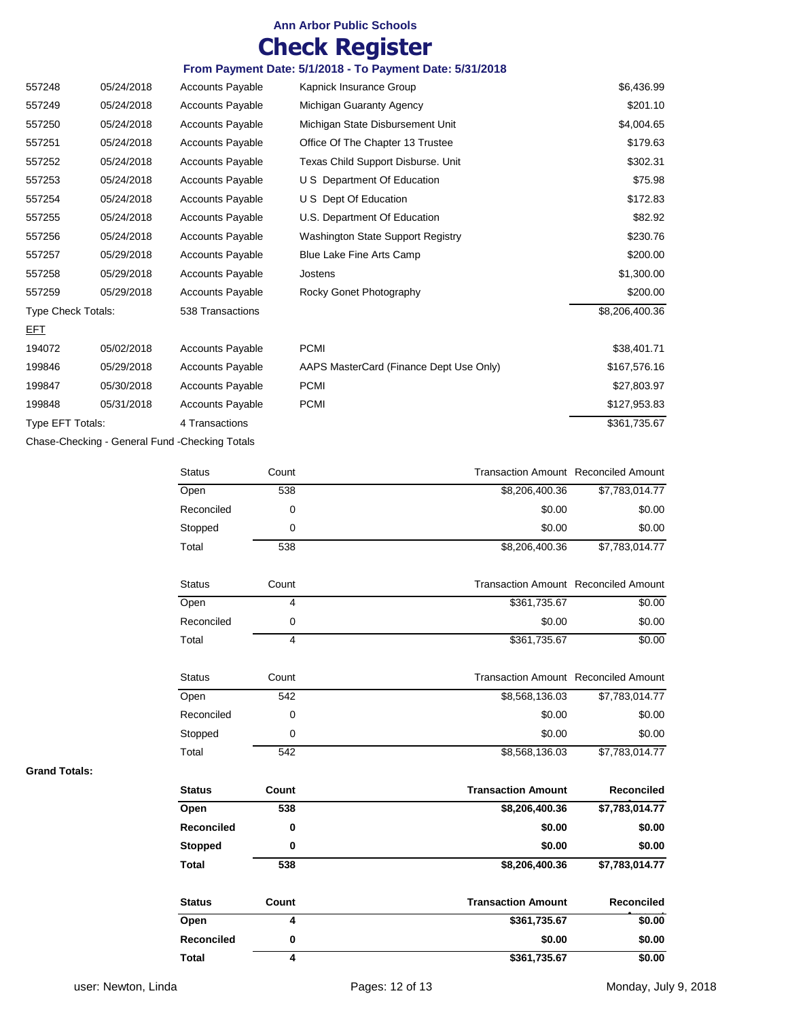## **Check Register**

#### **From Payment Date: 5/1/2018 - To Payment Date: 5/31/2018**

| 557248             | 05/24/2018 | <b>Accounts Payable</b> | Kapnick Insurance Group                 | \$6,436.99     |
|--------------------|------------|-------------------------|-----------------------------------------|----------------|
| 557249             | 05/24/2018 | <b>Accounts Payable</b> | Michigan Guaranty Agency                | \$201.10       |
| 557250             | 05/24/2018 | Accounts Payable        | Michigan State Disbursement Unit        | \$4,004.65     |
| 557251             | 05/24/2018 | <b>Accounts Payable</b> | Office Of The Chapter 13 Trustee        | \$179.63       |
| 557252             | 05/24/2018 | <b>Accounts Payable</b> | Texas Child Support Disburse. Unit      | \$302.31       |
| 557253             | 05/24/2018 | Accounts Payable        | U S Department Of Education             | \$75.98        |
| 557254             | 05/24/2018 | <b>Accounts Payable</b> | U S Dept Of Education                   | \$172.83       |
| 557255             | 05/24/2018 | <b>Accounts Payable</b> | U.S. Department Of Education            | \$82.92        |
| 557256             | 05/24/2018 | <b>Accounts Payable</b> | Washington State Support Registry       | \$230.76       |
| 557257             | 05/29/2018 | <b>Accounts Payable</b> | Blue Lake Fine Arts Camp                | \$200.00       |
| 557258             | 05/29/2018 | <b>Accounts Payable</b> | Jostens                                 | \$1,300.00     |
| 557259             | 05/29/2018 | <b>Accounts Payable</b> | Rocky Gonet Photography                 | \$200.00       |
| Type Check Totals: |            | 538 Transactions        |                                         | \$8,206,400.36 |
| <u>EFT</u>         |            |                         |                                         |                |
| 194072             | 05/02/2018 | <b>Accounts Payable</b> | <b>PCMI</b>                             | \$38,401.71    |
| 199846             | 05/29/2018 | <b>Accounts Payable</b> | AAPS MasterCard (Finance Dept Use Only) | \$167,576.16   |
| 199847             | 05/30/2018 | <b>Accounts Payable</b> | <b>PCMI</b>                             | \$27,803.97    |
| 199848             | 05/31/2018 | <b>Accounts Payable</b> | <b>PCMI</b>                             | \$127,953.83   |
| Type EFT Totals:   |            | 4 Transactions          |                                         | \$361,735.67   |
|                    |            |                         |                                         |                |

Chase-Checking - General Fund -Checking Totals

| <b>Status</b>     | Count                   | <b>Transaction Amount Reconciled Amount</b> |                   |
|-------------------|-------------------------|---------------------------------------------|-------------------|
| Open              | 538                     | \$8,206,400.36                              | \$7,783,014.77    |
| Reconciled        | 0                       | \$0.00                                      | \$0.00            |
| Stopped           | 0                       | \$0.00                                      | \$0.00            |
| Total             | 538                     | \$8,206,400.36                              | \$7,783,014.77    |
| <b>Status</b>     | Count                   | <b>Transaction Amount Reconciled Amount</b> |                   |
| Open              | 4                       | \$361,735.67                                | \$0.00            |
| Reconciled        | 0                       | \$0.00                                      | \$0.00            |
| Total             | 4                       | \$361,735.67                                | \$0.00            |
| <b>Status</b>     | Count                   | <b>Transaction Amount Reconciled Amount</b> |                   |
| Open              | 542                     | \$8,568,136.03                              | \$7,783,014.77    |
| Reconciled        | $\Omega$                | \$0.00                                      | \$0.00            |
| Stopped           | 0                       | \$0.00                                      | \$0.00            |
| Total             | 542                     | \$8,568,136.03                              | \$7,783,014.77    |
| <b>Status</b>     | Count                   | <b>Transaction Amount</b>                   | <b>Reconciled</b> |
| Open              | 538                     | \$8,206,400.36                              | \$7,783,014.77    |
| <b>Reconciled</b> | 0                       | \$0.00                                      | \$0.00            |
| <b>Stopped</b>    | 0                       | \$0.00                                      | \$0.00            |
| <b>Total</b>      | 538                     | \$8,206,400.36                              | \$7,783,014.77    |
| <b>Status</b>     | Count                   | <b>Transaction Amount</b>                   | <b>Reconciled</b> |
| Open              | 4                       | \$361,735.67                                | \$0.00            |
| <b>Reconciled</b> | 0                       | \$0.00                                      | \$0.00            |
| Total             | $\overline{\mathbf{4}}$ | \$361,735.67                                | \$0.00            |

**Grand Totals:**